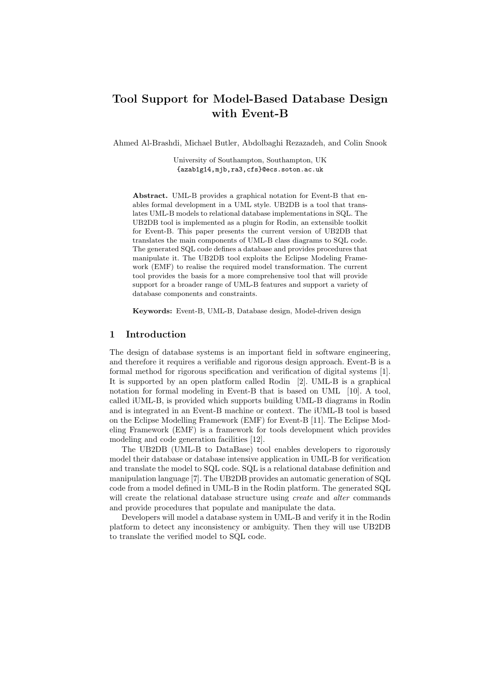# Tool Support for Model-Based Database Design with Event-B

Ahmed Al-Brashdi, Michael Butler, Abdolbaghi Rezazadeh, and Colin Snook

University of Southampton, Southampton, UK {azab1g14,mjb,ra3,cfs}@ecs.soton.ac.uk

Abstract. UML-B provides a graphical notation for Event-B that enables formal development in a UML style. UB2DB is a tool that translates UML-B models to relational database implementations in SQL. The UB2DB tool is implemented as a plugin for Rodin, an extensible toolkit for Event-B. This paper presents the current version of UB2DB that translates the main components of UML-B class diagrams to SQL code. The generated SQL code defines a database and provides procedures that manipulate it. The UB2DB tool exploits the Eclipse Modeling Framework (EMF) to realise the required model transformation. The current tool provides the basis for a more comprehensive tool that will provide support for a broader range of UML-B features and support a variety of database components and constraints.

Keywords: Event-B, UML-B, Database design, Model-driven design

### 1 Introduction

The design of database systems is an important field in software engineering, and therefore it requires a verifiable and rigorous design approach. Event-B is a formal method for rigorous specification and verification of digital systems [1]. It is supported by an open platform called Rodin [2]. UML-B is a graphical notation for formal modeling in Event-B that is based on UML [10]. A tool, called iUML-B, is provided which supports building UML-B diagrams in Rodin and is integrated in an Event-B machine or context. The iUML-B tool is based on the Eclipse Modelling Framework (EMF) for Event-B [11]. The Eclipse Modeling Framework (EMF) is a framework for tools development which provides modeling and code generation facilities [12].

The UB2DB (UML-B to DataBase) tool enables developers to rigorously model their database or database intensive application in UML-B for verification and translate the model to SQL code. SQL is a relational database definition and manipulation language [7]. The UB2DB provides an automatic generation of SQL code from a model defined in UML-B in the Rodin platform. The generated SQL will create the relational database structure using *create* and *alter* commands and provide procedures that populate and manipulate the data.

Developers will model a database system in UML-B and verify it in the Rodin platform to detect any inconsistency or ambiguity. Then they will use UB2DB to translate the verified model to SQL code.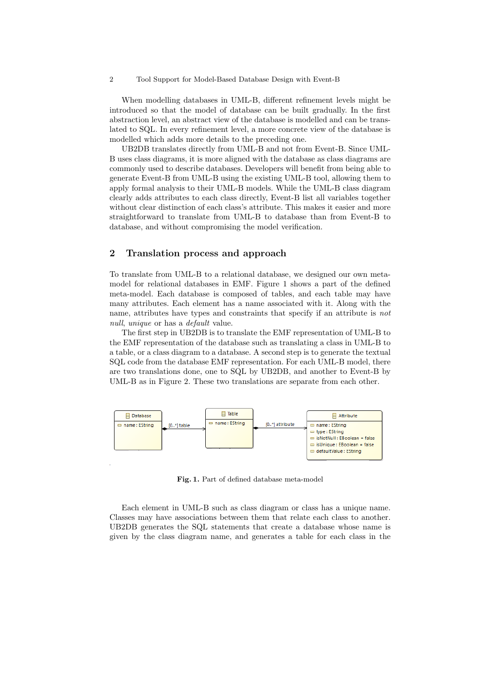#### 2 Tool Support for Model-Based Database Design with Event-B

When modelling databases in UML-B, different refinement levels might be introduced so that the model of database can be built gradually. In the first abstraction level, an abstract view of the database is modelled and can be translated to SQL. In every refinement level, a more concrete view of the database is modelled which adds more details to the preceding one.

UB2DB translates directly from UML-B and not from Event-B. Since UML-B uses class diagrams, it is more aligned with the database as class diagrams are commonly used to describe databases. Developers will benefit from being able to generate Event-B from UML-B using the existing UML-B tool, allowing them to apply formal analysis to their UML-B models. While the UML-B class diagram clearly adds attributes to each class directly, Event-B list all variables together without clear distinction of each class's attribute. This makes it easier and more straightforward to translate from UML-B to database than from Event-B to database, and without compromising the model verification.

### 2 Translation process and approach

To translate from UML-B to a relational database, we designed our own metamodel for relational databases in EMF. Figure 1 shows a part of the defined meta-model. Each database is composed of tables, and each table may have many attributes. Each element has a name associated with it. Along with the name, attributes have types and constraints that specify if an attribute is not null, unique or has a *default* value.

The first step in UB2DB is to translate the EMF representation of UML-B to the EMF representation of the database such as translating a class in UML-B to a table, or a class diagram to a database. A second step is to generate the textual SQL code from the database EMF representation. For each UML-B model, there are two translations done, one to SQL by UB2DB, and another to Event-B by UML-B as in Figure 2. These two translations are separate from each other.



Fig. 1. Part of defined database meta-model

Each element in UML-B such as class diagram or class has a unique name. Classes may have associations between them that relate each class to another. UB2DB generates the SQL statements that create a database whose name is given by the class diagram name, and generates a table for each class in the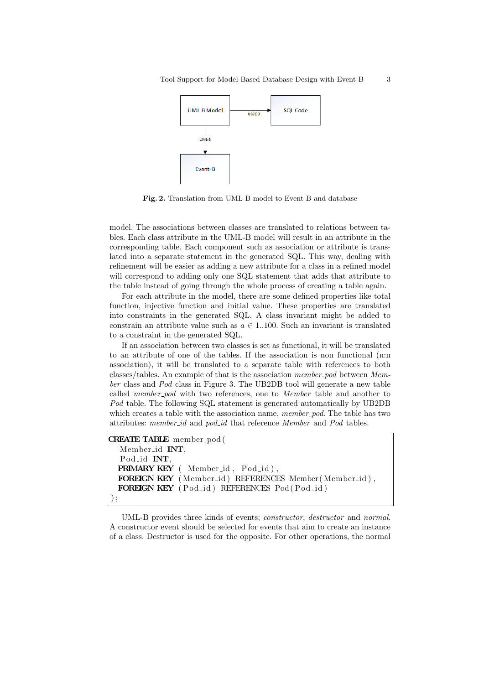

Fig. 2. Translation from UML-B model to Event-B and database

model. The associations between classes are translated to relations between tables. Each class attribute in the UML-B model will result in an attribute in the corresponding table. Each component such as association or attribute is translated into a separate statement in the generated SQL. This way, dealing with refinement will be easier as adding a new attribute for a class in a refined model will correspond to adding only one SQL statement that adds that attribute to the table instead of going through the whole process of creating a table again.

For each attribute in the model, there are some defined properties like total function, injective function and initial value. These properties are translated into constraints in the generated SQL. A class invariant might be added to constrain an attribute value such as  $a \in 1..100$ . Such an invariant is translated to a constraint in the generated SQL.

If an association between two classes is set as functional, it will be translated to an attribute of one of the tables. If the association is non functional (n:n association), it will be translated to a separate table with references to both classes/tables. An example of that is the association member-pod between Member class and Pod class in Figure 3. The UB2DB tool will generate a new table called *member\_pod* with two references, one to *Member* table and another to Pod table. The following SQL statement is generated automatically by UB2DB which creates a table with the association name, member-pod. The table has two attributes: member\_id and pod\_id that reference Member and Pod tables.

```
CREATE TABLE member_pod (
  Member id INT,
  Pod id INT,
 PRIMARY KEY ( Member id, Pod id),
 FOREIGN KEY ( Member id ) REFERENCES Member ( Member id ) ,
 FOREIGN KEY ( Pod id ) REFERENCES Pod ( Pod id )
) ;
```
UML-B provides three kinds of events; constructor, destructor and normal. A constructor event should be selected for events that aim to create an instance of a class. Destructor is used for the opposite. For other operations, the normal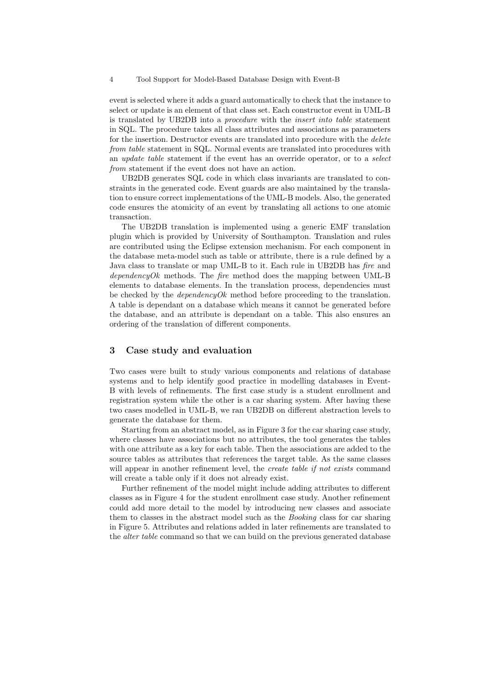#### 4 Tool Support for Model-Based Database Design with Event-B

event is selected where it adds a guard automatically to check that the instance to select or update is an element of that class set. Each constructor event in UML-B is translated by UB2DB into a procedure with the insert into table statement in SQL. The procedure takes all class attributes and associations as parameters for the insertion. Destructor events are translated into procedure with the *delete* from table statement in SQL. Normal events are translated into procedures with an update table statement if the event has an override operator, or to a select from statement if the event does not have an action.

UB2DB generates SQL code in which class invariants are translated to constraints in the generated code. Event guards are also maintained by the translation to ensure correct implementations of the UML-B models. Also, the generated code ensures the atomicity of an event by translating all actions to one atomic transaction.

The UB2DB translation is implemented using a generic EMF translation plugin which is provided by University of Southampton. Translation and rules are contributed using the Eclipse extension mechanism. For each component in the database meta-model such as table or attribute, there is a rule defined by a Java class to translate or map UML-B to it. Each rule in UB2DB has fire and dependencyOk methods. The fire method does the mapping between UML-B elements to database elements. In the translation process, dependencies must be checked by the *dependencyOk* method before proceeding to the translation. A table is dependant on a database which means it cannot be generated before the database, and an attribute is dependant on a table. This also ensures an ordering of the translation of different components.

### 3 Case study and evaluation

Two cases were built to study various components and relations of database systems and to help identify good practice in modelling databases in Event-B with levels of refinements. The first case study is a student enrollment and registration system while the other is a car sharing system. After having these two cases modelled in UML-B, we ran UB2DB on different abstraction levels to generate the database for them.

Starting from an abstract model, as in Figure 3 for the car sharing case study, where classes have associations but no attributes, the tool generates the tables with one attribute as a key for each table. Then the associations are added to the source tables as attributes that references the target table. As the same classes will appear in another refinement level, the *create table if not exists* command will create a table only if it does not already exist.

Further refinement of the model might include adding attributes to different classes as in Figure 4 for the student enrollment case study. Another refinement could add more detail to the model by introducing new classes and associate them to classes in the abstract model such as the Booking class for car sharing in Figure 5. Attributes and relations added in later refinements are translated to the *alter table* command so that we can build on the previous generated database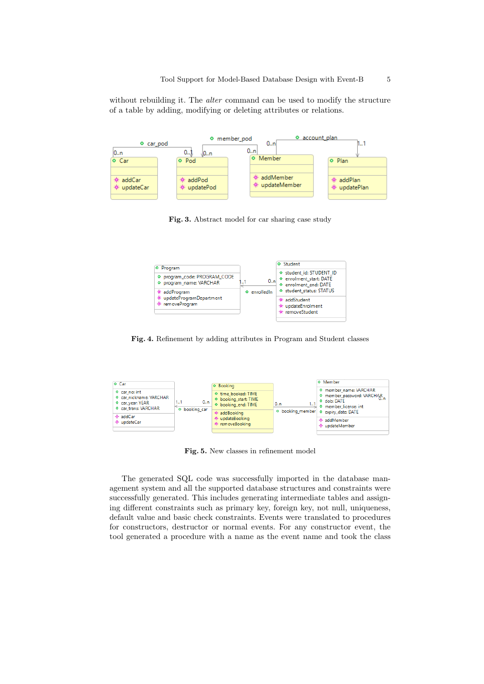without rebuilding it. The *alter* command can be used to modify the structure of a table by adding, modifying or deleting attributes or relations.



Fig. 3. Abstract model for car sharing case study



Fig. 4. Refinement by adding attributes in Program and Student classes



Fig. 5. New classes in refinement model

The generated SQL code was successfully imported in the database management system and all the supported database structures and constraints were successfully generated. This includes generating intermediate tables and assigning different constraints such as primary key, foreign key, not null, uniqueness, default value and basic check constraints. Events were translated to procedures for constructors, destructor or normal events. For any constructor event, the tool generated a procedure with a name as the event name and took the class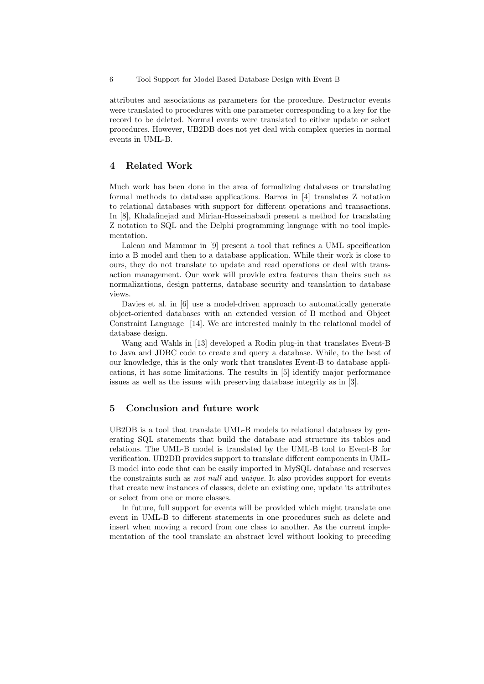6 Tool Support for Model-Based Database Design with Event-B

attributes and associations as parameters for the procedure. Destructor events were translated to procedures with one parameter corresponding to a key for the record to be deleted. Normal events were translated to either update or select procedures. However, UB2DB does not yet deal with complex queries in normal events in UML-B.

### 4 Related Work

Much work has been done in the area of formalizing databases or translating formal methods to database applications. Barros in [4] translates Z notation to relational databases with support for different operations and transactions. In [8], Khalafinejad and Mirian-Hosseinabadi present a method for translating Z notation to SQL and the Delphi programming language with no tool implementation.

Laleau and Mammar in [9] present a tool that refines a UML specification into a B model and then to a database application. While their work is close to ours, they do not translate to update and read operations or deal with transaction management. Our work will provide extra features than theirs such as normalizations, design patterns, database security and translation to database views.

Davies et al. in [6] use a model-driven approach to automatically generate object-oriented databases with an extended version of B method and Object Constraint Language [14]. We are interested mainly in the relational model of database design.

Wang and Wahls in [13] developed a Rodin plug-in that translates Event-B to Java and JDBC code to create and query a database. While, to the best of our knowledge, this is the only work that translates Event-B to database applications, it has some limitations. The results in [5] identify major performance issues as well as the issues with preserving database integrity as in [3].

### 5 Conclusion and future work

UB2DB is a tool that translate UML-B models to relational databases by generating SQL statements that build the database and structure its tables and relations. The UML-B model is translated by the UML-B tool to Event-B for verification. UB2DB provides support to translate different components in UML-B model into code that can be easily imported in MySQL database and reserves the constraints such as not null and unique. It also provides support for events that create new instances of classes, delete an existing one, update its attributes or select from one or more classes.

In future, full support for events will be provided which might translate one event in UML-B to different statements in one procedures such as delete and insert when moving a record from one class to another. As the current implementation of the tool translate an abstract level without looking to preceding